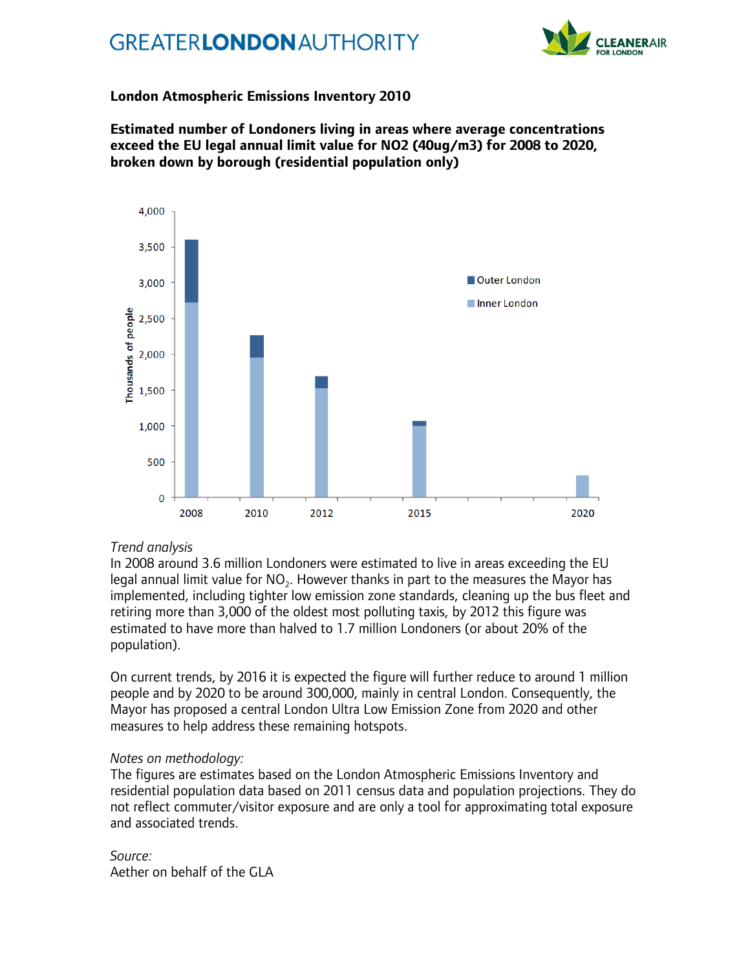## **GREATERLONDONAUTHORITY**



## **London Atmospheric Emissions Inventory 2010**

**Estimated number of Londoners living in areas where average concentrations exceed the EU legal annual limit value for NO2 (40ug/m3) for 2008 to 2020, broken down by borough (residential population only)**



## *Trend analysis*

In 2008 around 3.6 million Londoners were estimated to live in areas exceeding the EU legal annual limit value for  $\mathsf{NO}_2.$  However thanks in part to the measures the Mayor has implemented, including tighter low emission zone standards, cleaning up the bus fleet and retiring more than 3,000 of the oldest most polluting taxis, by 2012 this figure was estimated to have more than halved to 1.7 million Londoners (or about 20% of the population).

On current trends, by 2016 it is expected the figure will further reduce to around 1 million people and by 2020 to be around 300,000, mainly in central London. Consequently, the Mayor has proposed a central London Ultra Low Emission Zone from 2020 and other measures to help address these remaining hotspots.

## *Notes on methodology:*

The figures are estimates based on the London Atmospheric Emissions Inventory and residential population data based on 2011 census data and population projections. They do not reflect commuter/visitor exposure and are only a tool for approximating total exposure and associated trends.

*Source:* Aether on behalf of the GLA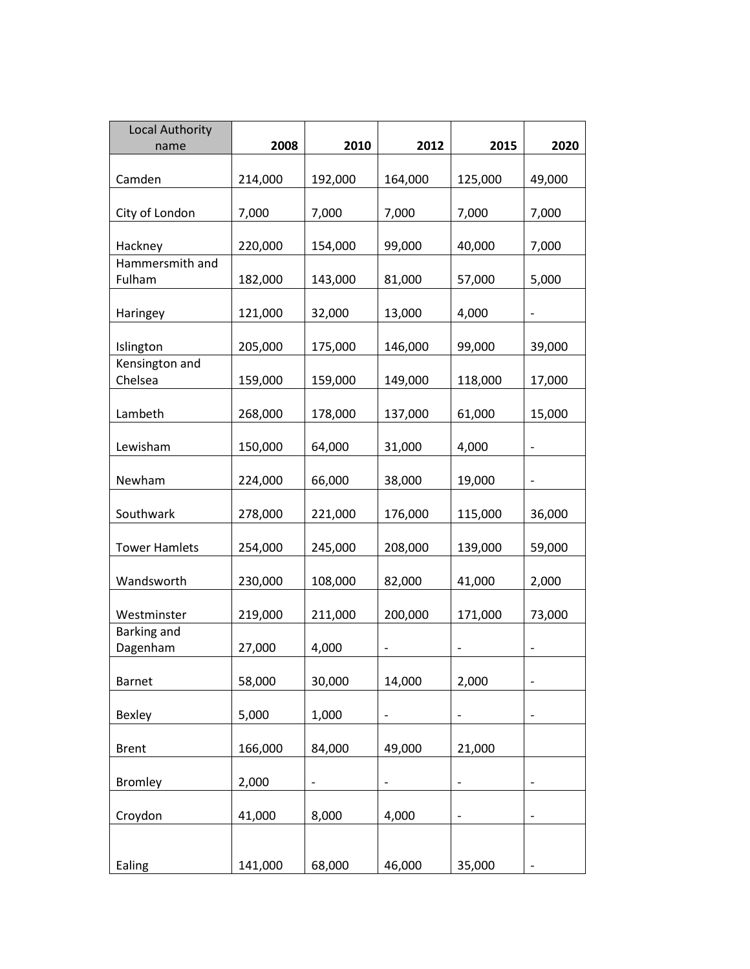| <b>Local Authority</b><br>name | 2008    | 2010                     | 2012                     | 2015                     | 2020                     |
|--------------------------------|---------|--------------------------|--------------------------|--------------------------|--------------------------|
|                                |         |                          |                          |                          |                          |
| Camden                         | 214,000 | 192,000                  | 164,000                  | 125,000                  | 49,000                   |
| City of London                 | 7,000   | 7,000                    | 7,000                    | 7,000                    | 7,000                    |
| Hackney                        | 220,000 | 154,000                  | 99,000                   | 40,000                   | 7,000                    |
| Hammersmith and                |         |                          |                          |                          |                          |
| Fulham                         | 182,000 | 143,000                  | 81,000                   | 57,000                   | 5,000                    |
| Haringey                       | 121,000 | 32,000                   | 13,000                   | 4,000                    | $\overline{\phantom{0}}$ |
| Islington                      | 205,000 | 175,000                  | 146,000                  | 99,000                   | 39,000                   |
| Kensington and                 |         |                          |                          |                          |                          |
| Chelsea                        | 159,000 | 159,000                  | 149,000                  | 118,000                  | 17,000                   |
| Lambeth                        | 268,000 | 178,000                  | 137,000                  | 61,000                   | 15,000                   |
| Lewisham                       | 150,000 | 64,000                   | 31,000                   | 4,000                    |                          |
| Newham                         | 224,000 | 66,000                   | 38,000                   | 19,000                   | $\overline{a}$           |
| Southwark                      | 278,000 | 221,000                  | 176,000                  | 115,000                  | 36,000                   |
| <b>Tower Hamlets</b>           | 254,000 | 245,000                  | 208,000                  | 139,000                  | 59,000                   |
| Wandsworth                     | 230,000 | 108,000                  | 82,000                   | 41,000                   | 2,000                    |
| Westminster                    | 219,000 | 211,000                  | 200,000                  | 171,000                  | 73,000                   |
| <b>Barking and</b><br>Dagenham | 27,000  | 4,000                    |                          |                          |                          |
| <b>Barnet</b>                  | 58,000  | 30,000                   | 14,000                   | 2,000                    | -                        |
| Bexley                         | 5,000   | 1,000                    | $\qquad \qquad -$        | $\overline{\phantom{0}}$ | $\overline{\phantom{0}}$ |
| <b>Brent</b>                   | 166,000 | 84,000                   | 49,000                   | 21,000                   |                          |
| <b>Bromley</b>                 | 2,000   | $\overline{\phantom{a}}$ | $\overline{\phantom{0}}$ |                          |                          |
| Croydon                        | 41,000  | 8,000                    | 4,000                    | -                        | $\overline{\phantom{0}}$ |
| Ealing                         | 141,000 | 68,000                   | 46,000                   | 35,000                   |                          |